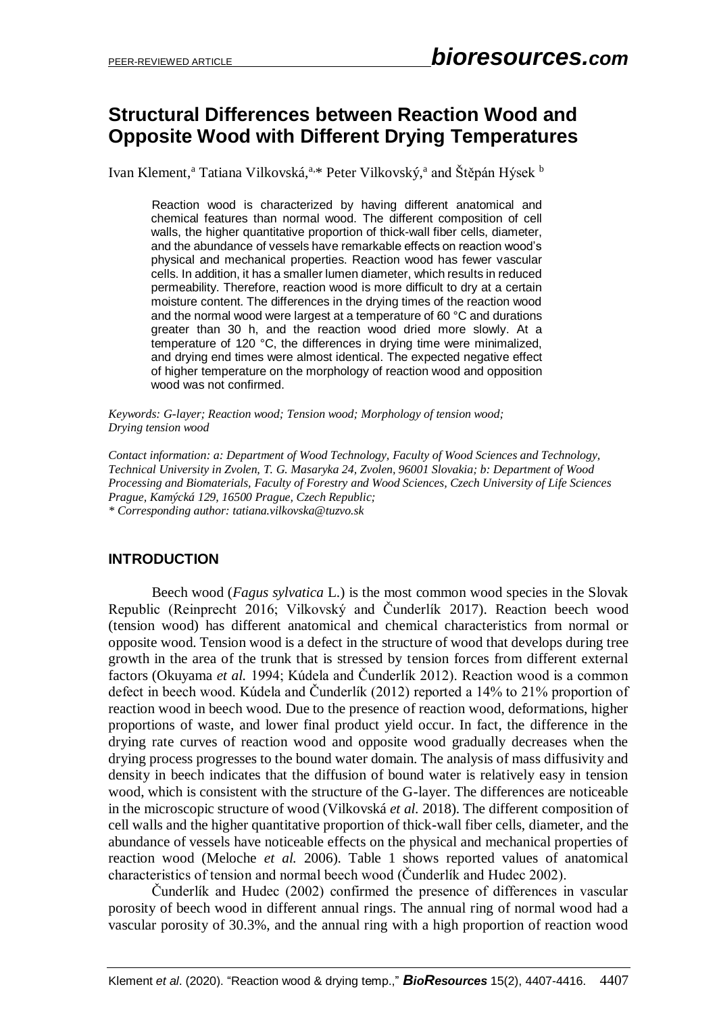# **Structural Differences between Reaction Wood and Opposite Wood with Different Drying Temperatures**

Ivan Klement,<sup>a</sup> Tatiana Vilkovská,<sup>a,\*</sup> Peter Vilkovský,<sup>a</sup> and Štěpán Hýsek <sup>b</sup>

Reaction wood is characterized by having different anatomical and chemical features than normal wood. The different composition of cell walls, the higher quantitative proportion of thick-wall fiber cells, diameter, and the abundance of vessels have remarkable effects on reaction wood's physical and mechanical properties. Reaction wood has fewer vascular cells. In addition, it has a smaller lumen diameter, which results in reduced permeability. Therefore, reaction wood is more difficult to dry at a certain moisture content. The differences in the drying times of the reaction wood and the normal wood were largest at a temperature of 60 °C and durations greater than 30 h, and the reaction wood dried more slowly. At a temperature of 120 °C, the differences in drying time were minimalized, and drying end times were almost identical. The expected negative effect of higher temperature on the morphology of reaction wood and opposition wood was not confirmed.

*Keywords: G-layer; Reaction wood; Tension wood; Morphology of tension wood; Drying tension wood*

*Contact information: a: Department of Wood Technology, Faculty of Wood Sciences and Technology, Technical University in Zvolen, T. G. Masaryka 24, Zvolen, 96001 Slovakia; b: Department of Wood Processing and Biomaterials, Faculty of Forestry and Wood Sciences, Czech University of Life Sciences Prague, Kamýcká 129, 16500 Prague, Czech Republic; \* Corresponding author: [tatiana.vilkovska@tuzvo.sk](mailto:tatiana.vilkovska@tuzvo.sk)*

**INTRODUCTION**

Beech wood (*Fagus sylvatica* L.) is the most common wood species in the Slovak Republic (Reinprecht 2016; Vilkovský and Čunderlík 2017). Reaction beech wood (tension wood) has different anatomical and chemical characteristics from normal or opposite wood. Tension wood is a defect in the structure of wood that develops during tree growth in the area of the trunk that is stressed by tension forces from different external factors (Okuyama *et al.* 1994; Kúdela and Čunderlík 2012). Reaction wood is a common defect in beech wood. Kúdela and Čunderlík (2012) reported a 14% to 21% proportion of reaction wood in beech wood. Due to the presence of reaction wood, deformations, higher proportions of waste, and lower final product yield occur. In fact, the difference in the drying rate curves of reaction wood and opposite wood gradually decreases when the drying process progresses to the bound water domain. The analysis of mass diffusivity and density in beech indicates that the diffusion of bound water is relatively easy in tension wood, which is consistent with the structure of the G-layer. The differences are noticeable in the microscopic structure of wood (Vilkovská *et al.* 2018). The different composition of cell walls and the higher quantitative proportion of thick-wall fiber cells, diameter, and the abundance of vessels have noticeable effects on the physical and mechanical properties of reaction wood (Meloche *et al.* 2006). Table 1 shows reported values of anatomical characteristics of tension and normal beech wood (Čunderlík and Hudec 2002).

Čunderlík and Hudec (2002) confirmed the presence of differences in vascular porosity of beech wood in different annual rings. The annual ring of normal wood had a vascular porosity of 30.3%, and the annual ring with a high proportion of reaction wood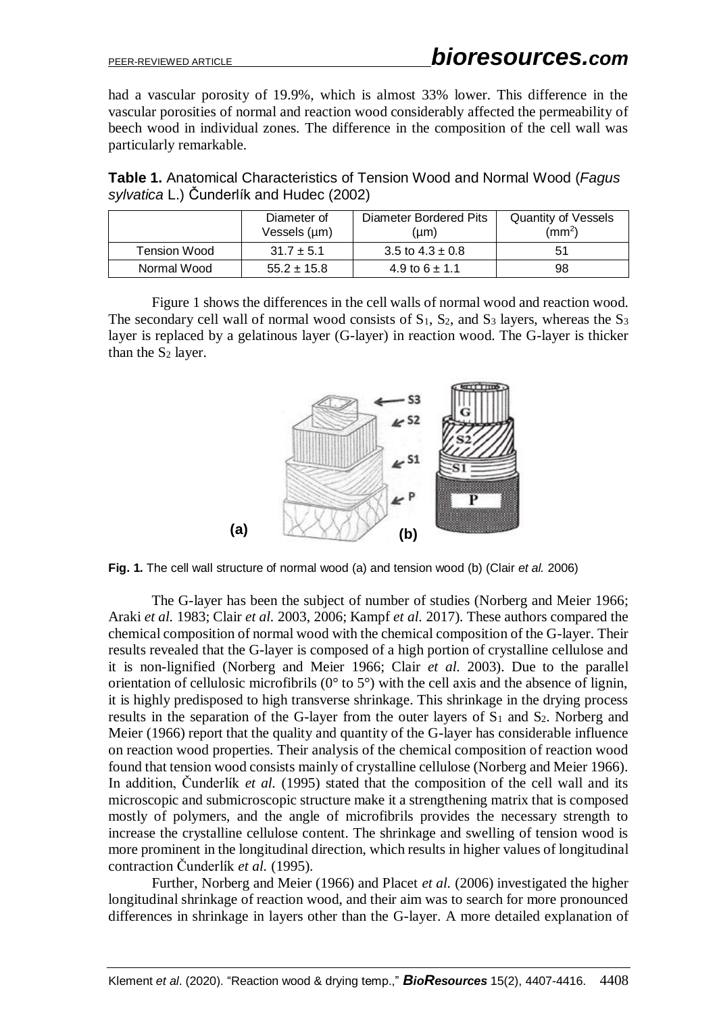had a vascular porosity of 19.9%, which is almost 33% lower. This difference in the vascular porosities of normal and reaction wood considerably affected the permeability of beech wood in individual zones. The difference in the composition of the cell wall was particularly remarkable.

| Table 1. Anatomical Characteristics of Tension Wood and Normal Wood (Fagus |  |  |  |
|----------------------------------------------------------------------------|--|--|--|
| sylvatica L.) Čunderlík and Hudec (2002)                                   |  |  |  |

|              | Diameter of<br>Vessels (µm) | Diameter Bordered Pits<br>(µm) | <b>Quantity of Vessels</b><br>(mm <sup>2</sup> ) |
|--------------|-----------------------------|--------------------------------|--------------------------------------------------|
| Tension Wood | $31.7 \pm 5.1$              | 3.5 to $4.3 \pm 0.8$           | 51                                               |
| Normal Wood  | $55.2 \pm 15.8$             | 4.9 to $6 \pm 1.1$             | 98                                               |

Figure 1 shows the differences in the cell walls of normal wood and reaction wood. The secondary cell wall of normal wood consists of  $S_1$ ,  $S_2$ , and  $S_3$  layers, whereas the  $S_3$ layer is replaced by a gelatinous layer (G-layer) in reaction wood. The G-layer is thicker than the  $S_2$  layer.



**Fig. 1.** The cell wall structure of normal wood (a) and tension wood (b) (Clair *et al.* 2006)

The G-layer has been the subject of number of studies (Norberg and Meier 1966; Araki *et al.* 1983; Clair *et al.* 2003, 2006; Kampf *et al.* 2017). These authors compared the chemical composition of normal wood with the chemical composition of the G-layer. Their results revealed that the G-layer is composed of a high portion of crystalline cellulose and it is non-lignified (Norberg and Meier 1966; Clair *et al.* 2003). Due to the parallel orientation of cellulosic microfibrils ( $0^{\circ}$  to  $5^{\circ}$ ) with the cell axis and the absence of lignin, it is highly predisposed to high transverse shrinkage. This shrinkage in the drying process results in the separation of the G-layer from the outer layers of  $S_1$  and  $S_2$ . Norberg and Meier (1966) report that the quality and quantity of the G-layer has considerable influence on reaction wood properties. Their analysis of the chemical composition of reaction wood found that tension wood consists mainly of crystalline cellulose (Norberg and Meier 1966). In addition, Čunderlík *et al.* (1995) stated that the composition of the cell wall and its microscopic and submicroscopic structure make it a strengthening matrix that is composed mostly of polymers, and the angle of microfibrils provides the necessary strength to increase the crystalline cellulose content. The shrinkage and swelling of tension wood is more prominent in the longitudinal direction, which results in higher values of longitudinal contraction Čunderlík *et al.* (1995).

Further, Norberg and Meier (1966) and Placet *et al.* (2006) investigated the higher longitudinal shrinkage of reaction wood, and their aim was to search for more pronounced differences in shrinkage in layers other than the G-layer. A more detailed explanation of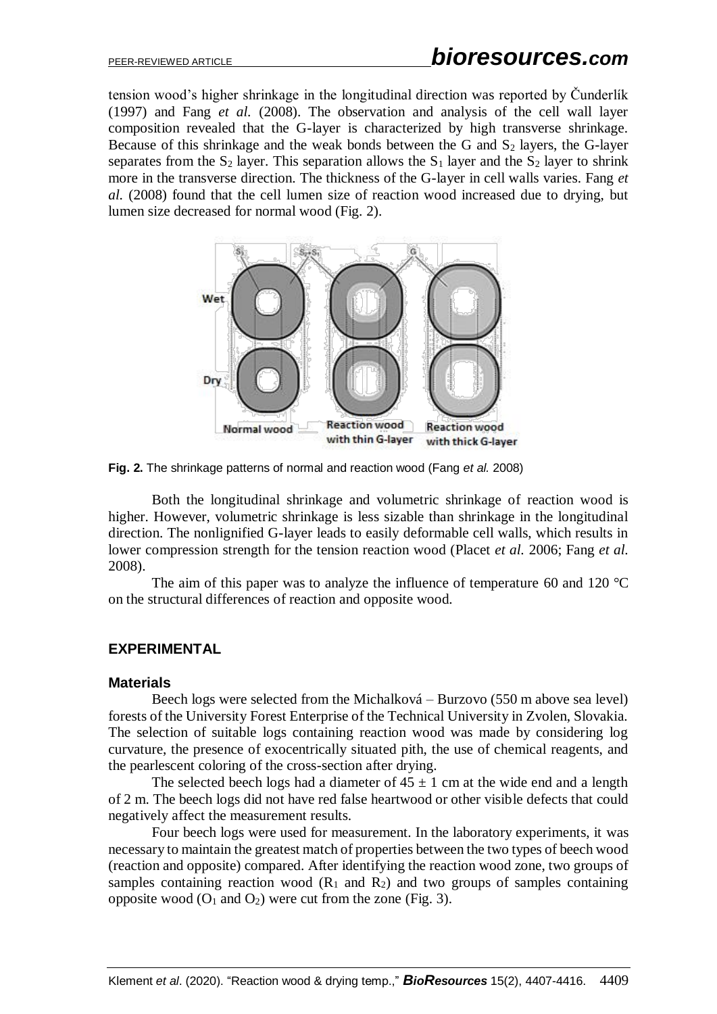tension wood's higher shrinkage in the longitudinal direction was reported by Čunderlík (1997) and Fang *et al.* (2008). The observation and analysis of the cell wall layer composition revealed that the G-layer is characterized by high transverse shrinkage. Because of this shrinkage and the weak bonds between the G and  $S_2$  layers, the G-layer separates from the  $S_2$  layer. This separation allows the  $S_1$  layer and the  $S_2$  layer to shrink more in the transverse direction. The thickness of the G-layer in cell walls varies. Fang *et al.* (2008) found that the cell lumen size of reaction wood increased due to drying, but lumen size decreased for normal wood (Fig. 2).



**Fig. 2.** The shrinkage patterns of normal and reaction wood (Fang *et al.* 2008)

Both the longitudinal shrinkage and volumetric shrinkage of reaction wood is higher. However, volumetric shrinkage is less sizable than shrinkage in the longitudinal direction. The nonlignified G-layer leads to easily deformable cell walls, which results in lower compression strength for the tension reaction wood (Placet *et al.* 2006; Fang *et al.* 2008).

The aim of this paper was to analyze the influence of temperature 60 and 120 °C on the structural differences of reaction and opposite wood.

#### **EXPERIMENTAL**

#### **Materials**

Beech logs were selected from the Michalková – Burzovo (550 m above sea level) forests of the University Forest Enterprise of the Technical University in Zvolen, Slovakia. The selection of suitable logs containing reaction wood was made by considering log curvature, the presence of exocentrically situated pith, the use of chemical reagents, and the pearlescent coloring of the cross-section after drying.

The selected beech logs had a diameter of  $45 \pm 1$  cm at the wide end and a length of 2 m. The beech logs did not have red false heartwood or other visible defects that could negatively affect the measurement results.

Four beech logs were used for measurement. In the laboratory experiments, it was necessary to maintain the greatest match of properties between the two types of beech wood (reaction and opposite) compared. After identifying the reaction wood zone, two groups of samples containing reaction wood  $(R_1 \text{ and } R_2)$  and two groups of samples containing opposite wood  $(O_1 \text{ and } O_2)$  were cut from the zone (Fig. 3).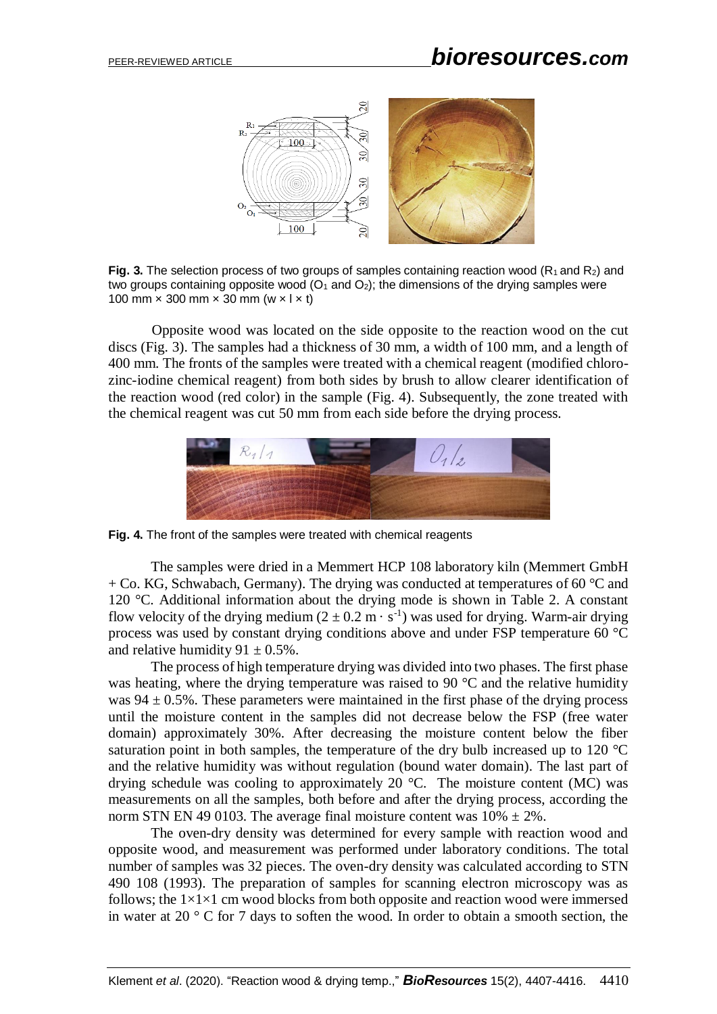

**Fig. 3.** The selection process of two groups of samples containing reaction wood  $(R_1$  and  $R_2)$  and two groups containing opposite wood  $(O_1 \text{ and } O_2)$ ; the dimensions of the drying samples were 100 mm  $\times$  300 mm  $\times$  30 mm (w  $\times$  l  $\times$  t)

Opposite wood was located on the side opposite to the reaction wood on the cut discs (Fig. 3). The samples had a thickness of 30 mm, a width of 100 mm, and a length of 400 mm. The fronts of the samples were treated with a chemical reagent (modified chlorozinc-iodine chemical reagent) from both sides by brush to allow clearer identification of the reaction wood (red color) in the sample (Fig. 4). Subsequently, the zone treated with the chemical reagent was cut 50 mm from each side before the drying process.



**Fig. 4.** The front of the samples were treated with chemical reagents

The samples were dried in a Memmert HCP 108 laboratory kiln (Memmert GmbH  $+$  Co. KG, Schwabach, Germany). The drying was conducted at temperatures of 60  $\degree$ C and 120 °C. Additional information about the drying mode is shown in Table 2. A constant flow velocity of the drying medium  $(2 \pm 0.2 \text{ m} \cdot \text{s}^{-1})$  was used for drying. Warm-air drying process was used by constant drying conditions above and under FSP temperature 60 °C and relative humidity  $91 \pm 0.5\%$ .

The process of high temperature drying was divided into two phases. The first phase was heating, where the drying temperature was raised to 90 °C and the relative humidity was  $94 \pm 0.5$ %. These parameters were maintained in the first phase of the drying process until the moisture content in the samples did not decrease below the FSP (free water domain) approximately 30%. After decreasing the moisture content below the fiber saturation point in both samples, the temperature of the dry bulb increased up to 120 °C and the relative humidity was without regulation (bound water domain). The last part of drying schedule was cooling to approximately 20 °C. The moisture content (MC) was measurements on all the samples, both before and after the drying process, according the norm STN EN 49 0103. The average final moisture content was  $10\% \pm 2\%$ .

The oven-dry density was determined for every sample with reaction wood and opposite wood, and measurement was performed under laboratory conditions. The total number of samples was 32 pieces. The oven-dry density was calculated according to STN 490 108 (1993). The preparation of samples for scanning electron microscopy was as follows; the  $1\times1\times1$  cm wood blocks from both opposite and reaction wood were immersed in water at 20 ° C for 7 days to soften the wood. In order to obtain a smooth section, the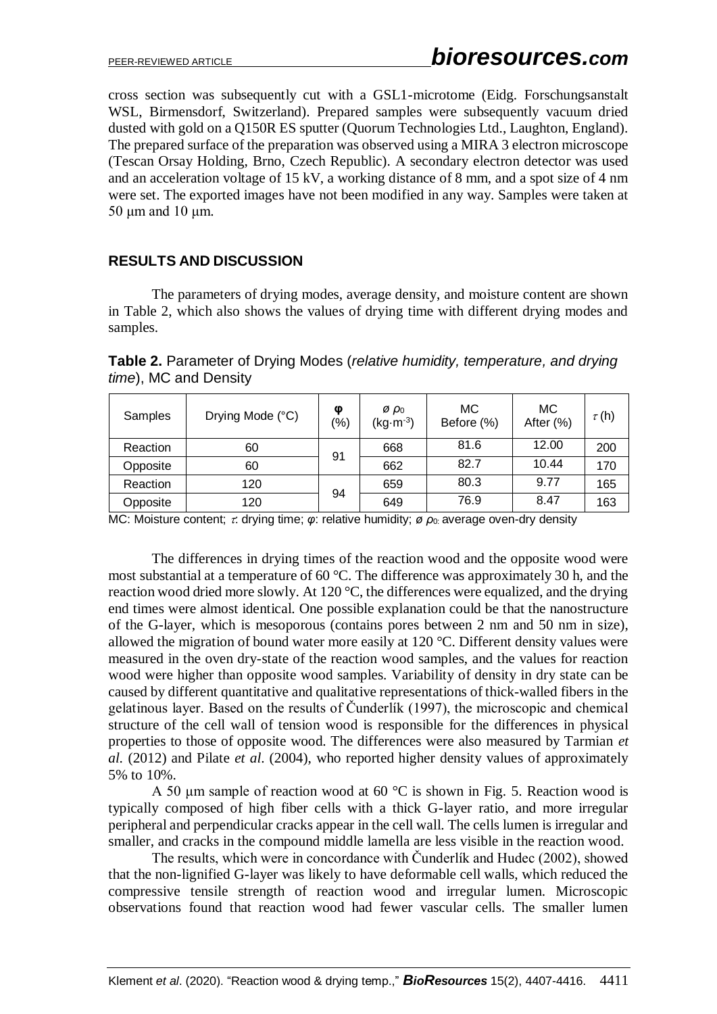cross section was subsequently cut with a GSL1-microtome (Eidg. Forschungsanstalt WSL, Birmensdorf, Switzerland). Prepared samples were subsequently vacuum dried dusted with gold on a Q150R ES sputter (Quorum Technologies Ltd., Laughton, England). The prepared surface of the preparation was observed using a MIRA 3 electron microscope (Tescan Orsay Holding, Brno, Czech Republic). A secondary electron detector was used and an acceleration voltage of 15 kV, a working distance of 8 mm, and a spot size of 4 nm were set. The exported images have not been modified in any way. Samples were taken at 50 μm and 10 μm.

#### **RESULTS AND DISCUSSION**

The parameters of drying modes, average density, and moisture content are shown in Table 2, which also shows the values of drying time with different drying modes and samples.

**Table 2.** Parameter of Drying Modes (*relative humidity, temperature, and drying time*), MC and Density

| Samples  | Drying Mode (°C) | Φ<br>(9/0) | $\varnothing$ $\rho_0$<br>$(kg·m-3)$ | MC<br>Before (%) | MC<br>After (%) | $\tau$ (h) |
|----------|------------------|------------|--------------------------------------|------------------|-----------------|------------|
| Reaction | 60               | 91         | 668                                  | 81.6             | 12.00           | 200        |
| Opposite | 60               |            | 662                                  | 82.7             | 10.44           | 170        |
| Reaction | 120              |            | 659                                  | 80.3             | 9.77            | 165        |
| Opposite | 120              | 94         | 649                                  | 76.9             | 8.47            | 163        |

MC: Moisture content; *τ*. drying time; *φ*: relative humidity; *ø ρ*<sub>0</sub>: average oven-dry density

The differences in drying times of the reaction wood and the opposite wood were most substantial at a temperature of 60 °C. The difference was approximately 30 h, and the reaction wood dried more slowly. At 120 °C, the differences were equalized, and the drying end times were almost identical. One possible explanation could be that the nanostructure of the G-layer, which is mesoporous (contains pores between 2 nm and 50 nm in size), allowed the migration of bound water more easily at 120 °C. Different density values were measured in the oven dry-state of the reaction wood samples, and the values for reaction wood were higher than opposite wood samples. Variability of density in dry state can be caused by different quantitative and qualitative representations of thick-walled fibers in the gelatinous layer. Based on the results of Čunderlík (1997), the microscopic and chemical structure of the cell wall of tension wood is responsible for the differences in physical properties to those of opposite wood. The differences were also measured by Tarmian *et al.* (2012) and Pilate *et al*. (2004), who reported higher density values of approximately 5% to 10%.

A 50 µm sample of reaction wood at 60  $\degree$ C is shown in Fig. 5. Reaction wood is typically composed of high fiber cells with a thick G-layer ratio, and more irregular peripheral and perpendicular cracks appear in the cell wall. The cells lumen is irregular and smaller, and cracks in the compound middle lamella are less visible in the reaction wood.

The results, which were in concordance with Čunderlík and Hudec (2002), showed that the non-lignified G-layer was likely to have deformable cell walls, which reduced the compressive tensile strength of reaction wood and irregular lumen. Microscopic observations found that reaction wood had fewer vascular cells. The smaller lumen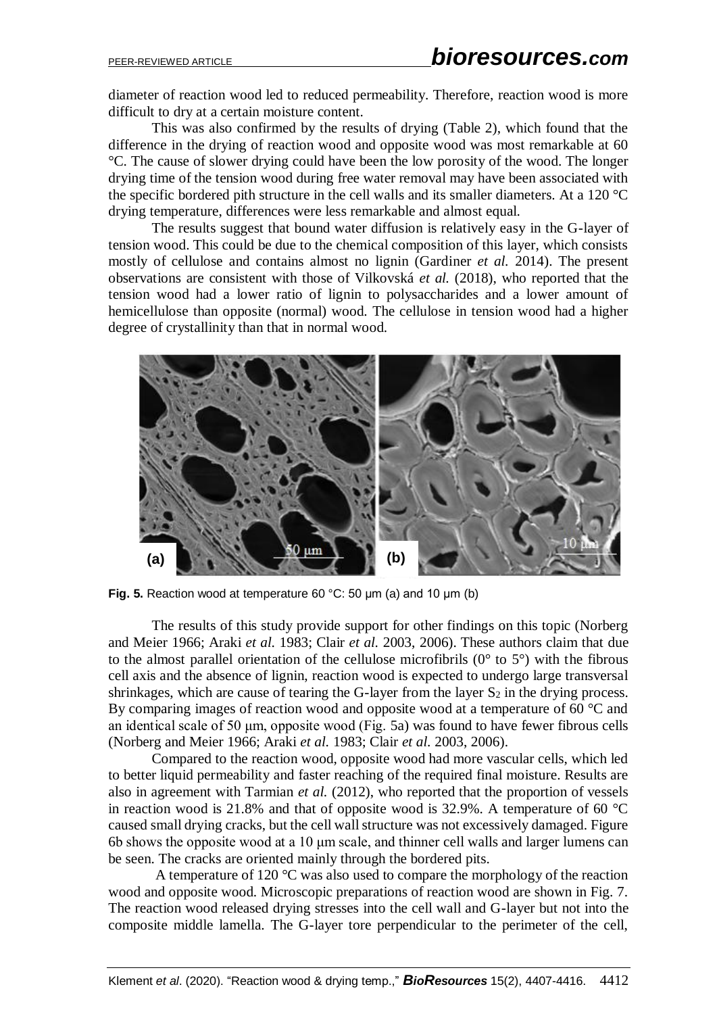diameter of reaction wood led to reduced permeability. Therefore, reaction wood is more difficult to dry at a certain moisture content.

This was also confirmed by the results of drying (Table 2), which found that the difference in the drying of reaction wood and opposite wood was most remarkable at 60 °C. The cause of slower drying could have been the low porosity of the wood. The longer drying time of the tension wood during free water removal may have been associated with the specific bordered pith structure in the cell walls and its smaller diameters. At a 120 °C drying temperature, differences were less remarkable and almost equal.

The results suggest that bound water diffusion is relatively easy in the G-layer of tension wood. This could be due to the chemical composition of this layer, which consists mostly of cellulose and contains almost no lignin (Gardiner *et al.* 2014). The present observations are consistent with those of Vilkovská *et al.* (2018), who reported that the tension wood had a lower ratio of lignin to polysaccharides and a lower amount of hemicellulose than opposite (normal) wood. The cellulose in tension wood had a higher degree of crystallinity than that in normal wood.



**Fig. 5.** Reaction wood at temperature 60 °C: 50 μm (a) and 10 μm (b)

The results of this study provide support for other findings on this topic (Norberg and Meier 1966; Araki *et al.* 1983; Clair *et al.* 2003, 2006). These authors claim that due to the almost parallel orientation of the cellulose microfibrils  $(0^{\circ}$  to  $5^{\circ})$  with the fibrous cell axis and the absence of lignin, reaction wood is expected to undergo large transversal shrinkages, which are cause of tearing the G-layer from the layer  $S_2$  in the drying process. By comparing images of reaction wood and opposite wood at a temperature of 60 °C and an identical scale of 50 μm, opposite wood (Fig. 5a) was found to have fewer fibrous cells (Norberg and Meier 1966; Araki *et al.* 1983; Clair *et al.* 2003, 2006).

Compared to the reaction wood, opposite wood had more vascular cells, which led to better liquid permeability and faster reaching of the required final moisture. Results are also in agreement with Tarmian *et al.* (2012), who reported that the proportion of vessels in reaction wood is 21.8% and that of opposite wood is 32.9%. A temperature of 60 °C caused small drying cracks, but the cell wall structure was not excessively damaged. Figure 6b shows the opposite wood at a 10 μm scale, and thinner cell walls and larger lumens can be seen. The cracks are oriented mainly through the bordered pits.

A temperature of 120 °C was also used to compare the morphology of the reaction wood and opposite wood. Microscopic preparations of reaction wood are shown in Fig. 7. The reaction wood released drying stresses into the cell wall and G-layer but not into the composite middle lamella. The G-layer tore perpendicular to the perimeter of the cell,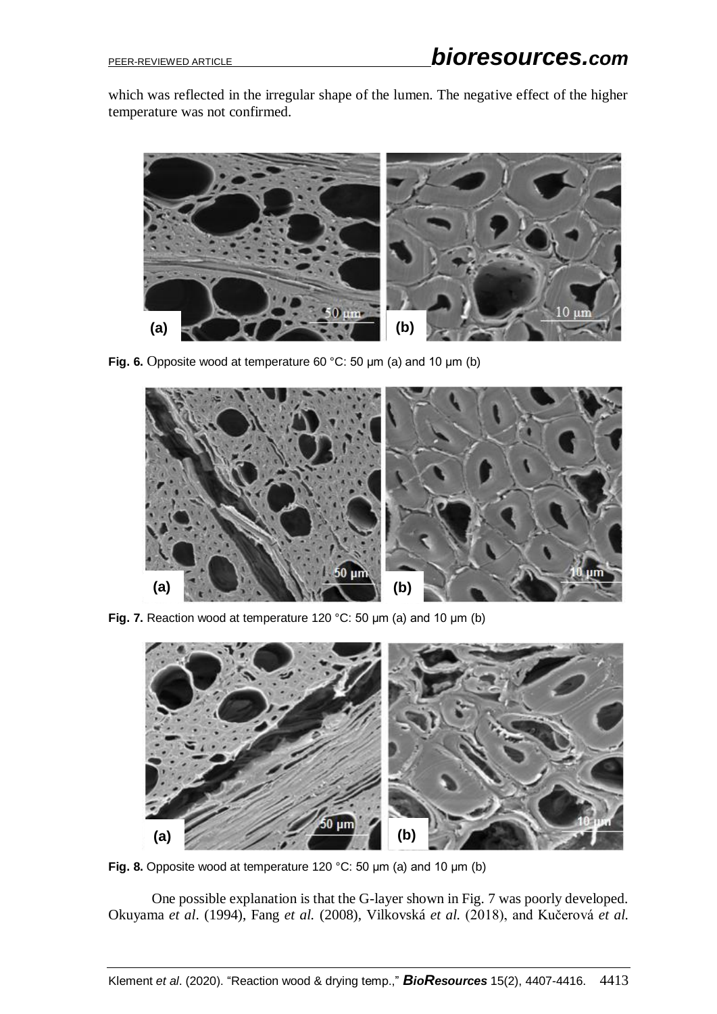which was reflected in the irregular shape of the lumen. The negative effect of the higher temperature was not confirmed.



**Fig. 6.** Opposite wood at temperature 60 °C: 50 μm (a) and 10 μm (b)



**Fig. 7.** Reaction wood at temperature 120 °C: 50 μm (a) and 10 μm (b)



**Fig. 8.** Opposite wood at temperature 120 °C: 50 μm (a) and 10 μm (b)

One possible explanation is that the G-layer shown in Fig. 7 was poorly developed. Okuyama *et al*. (1994), Fang *et al.* (2008), Vilkovská *et al.* (2018), and Kučerová *et al.*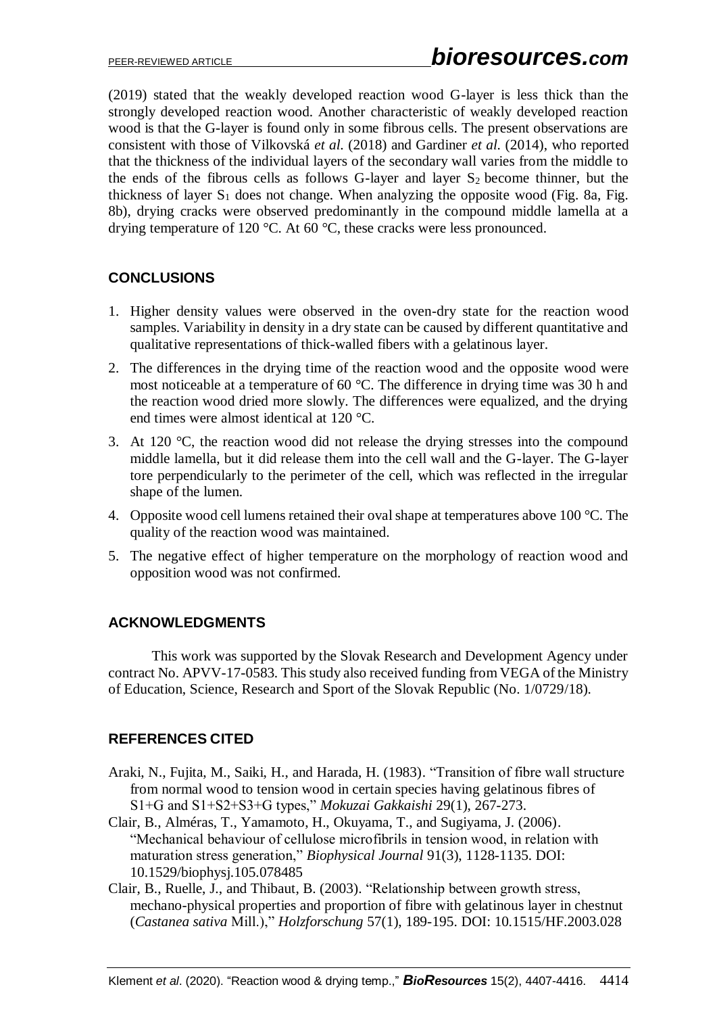(2019) stated that the weakly developed reaction wood G-layer is less thick than the strongly developed reaction wood. Another characteristic of weakly developed reaction wood is that the G-layer is found only in some fibrous cells. The present observations are consistent with those of Vilkovská *et al.* (2018) and Gardiner *et al.* (2014), who reported that the thickness of the individual layers of the secondary wall varies from the middle to the ends of the fibrous cells as follows G-layer and layer  $S_2$  become thinner, but the thickness of layer  $S_1$  does not change. When analyzing the opposite wood (Fig. 8a, Fig. 8b), drying cracks were observed predominantly in the compound middle lamella at a drying temperature of 120 °C. At 60 °C, these cracks were less pronounced.

### **CONCLUSIONS**

- 1. Higher density values were observed in the oven-dry state for the reaction wood samples. Variability in density in a dry state can be caused by different quantitative and qualitative representations of thick-walled fibers with a gelatinous layer.
- 2. The differences in the drying time of the reaction wood and the opposite wood were most noticeable at a temperature of 60 °C. The difference in drying time was 30 h and the reaction wood dried more slowly. The differences were equalized, and the drying end times were almost identical at 120 °C.
- 3. At 120 °C, the reaction wood did not release the drying stresses into the compound middle lamella, but it did release them into the cell wall and the G-layer. The G-layer tore perpendicularly to the perimeter of the cell, which was reflected in the irregular shape of the lumen.
- 4. Opposite wood cell lumens retained their oval shape at temperatures above 100 °C. The quality of the reaction wood was maintained.
- 5. The negative effect of higher temperature on the morphology of reaction wood and opposition wood was not confirmed.

### **ACKNOWLEDGMENTS**

This work was supported by the Slovak Research and Development Agency under contract No. APVV-17-0583. This study also received funding from VEGA of the Ministry of Education, Science, Research and Sport of the Slovak Republic (No. 1/0729/18).

## **REFERENCES CITED**

- Araki, N., Fujita, M., Saiki, H., and Harada, H. (1983). "Transition of fibre wall structure from normal wood to tension wood in certain species having gelatinous fibres of S1+G and S1+S2+S3+G types," *Mokuzai Gakkaishi* 29(1), 267-273.
- Clair, B., Alméras, T., Yamamoto, H., Okuyama, T., and Sugiyama, J. (2006). "Mechanical behaviour of cellulose microfibrils in tension wood, in relation with maturation stress generation," *Biophysical Journal* 91(3), 1128-1135. DOI: 10.1529/biophysj.105.078485
- Clair, B., Ruelle, J., and Thibaut, B. (2003). "Relationship between growth stress, mechano-physical properties and proportion of fibre with gelatinous layer in chestnut (*Castanea sativa* Mill.)," *Holzforschung* 57(1), 189-195. DOI: 10.1515/HF.2003.028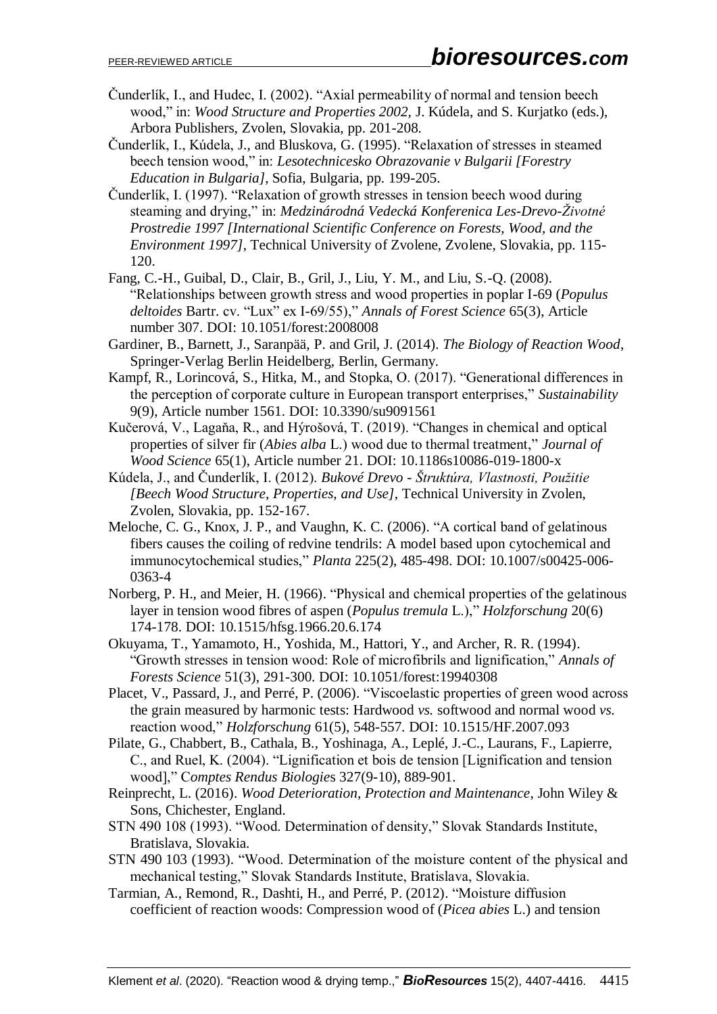- Čunderlík, I., and Hudec, I. (2002). "Axial permeability of normal and tension beech wood," in: *Wood Structure and Properties 2002,* J. Kúdela, and S. Kurjatko (eds.), Arbora Publishers, Zvolen, Slovakia, pp. 201-208.
- Čunderlík, I., Kúdela, J., and Bluskova, G. (1995). "Relaxation of stresses in steamed beech tension wood," in: *Lesotechnicesko Obrazovanie v Bulgarii [Forestry Education in Bulgaria]*, Sofia, Bulgaria, pp. 199-205.
- Čunderlík, I. (1997). "Relaxation of growth stresses in tension beech wood during steaming and drying," in: *Medzinárodná Vedecká Konferenica Les-Drevo-Životné Prostredie 1997 [International Scientific Conference on Forests, Wood, and the Environment 1997]*, Technical University of Zvolene, Zvolene, Slovakia, pp. 115- 120.
- Fang, C.-H., Guibal, D., Clair, B., Gril, J., Liu, Y. M., and Liu, S.-Q. (2008). "Relationships between growth stress and wood properties in poplar I-69 (*Populus deltoides* Bartr. cv. "Lux" ex I-69/55)," *Annals of Forest Science* 65(3), Article number 307. DOI: 10.1051/forest:2008008
- Gardiner, B., Barnett, J., Saranpää, P. and Gril, J. (2014). *The Biology of Reaction Wood*, Springer-Verlag Berlin Heidelberg, Berlin, Germany.
- Kampf, R., Lorincová, S., Hitka, M., and Stopka, O. (2017). "Generational differences in the perception of corporate culture in European transport enterprises," *Sustainability* 9(9), Article number 1561. DOI: 10.3390/su9091561
- Kučerová, V., Lagaňa, R., and Hýrošová, T. (2019). "Changes in chemical and optical properties of silver fir (*Abies alba* L.) wood due to thermal treatment," *Journal of Wood Science* 65(1), Article number 21. DOI: 10.1186s10086-019-1800-x
- Kúdela, J., and Čunderlík, I. (2012). *Bukové Drevo - Štruktúra, Vlastnosti, Použitie [Beech Wood Structure, Properties, and Use]*, Technical University in Zvolen, Zvolen, Slovakia, pp. 152-167.
- Meloche, C. G., Knox, J. P., and Vaughn, K. C. (2006). "A cortical band of gelatinous fibers causes the coiling of redvine tendrils: A model based upon cytochemical and immunocytochemical studies," *Planta* 225(2), 485-498. DOI: 10.1007/s00425-006- 0363-4
- Norberg, P. H., and Meier, H. (1966). "Physical and chemical properties of the gelatinous layer in tension wood fibres of aspen (*Populus tremula* L.)," *Holzforschung* 20(6) 174-178. DOI: 10.1515/hfsg.1966.20.6.174
- Okuyama, T., Yamamoto, H., Yoshida, M., Hattori, Y., and Archer, R. R. (1994). "Growth stresses in tension wood: Role of microfibrils and lignification," *Annals of Forests Science* 51(3), 291-300. DOI: 10.1051/forest:19940308
- Placet, V., Passard, J., and Perré, P. (2006). "Viscoelastic properties of green wood across the grain measured by harmonic tests: Hardwood *vs.* softwood and normal wood *vs.* reaction wood," *Holzforschung* 61(5), 548-557. DOI: 10.1515/HF.2007.093
- Pilate, G., Chabbert, B., Cathala, B., Yoshinaga, A., Leplé, J.-C., Laurans, F., Lapierre, C., and Ruel, K. (2004). "Lignification et bois de tension [Lignification and tension wood]," C*omptes Rendus Biologie*s 327(9-10), 889-901.
- Reinprecht, L. (2016). *Wood Deterioration, Protection and Maintenance*, John Wiley & Sons, Chichester, England.
- STN 490 108 (1993). "Wood. Determination of density," Slovak Standards Institute, Bratislava, Slovakia.
- STN 490 103 (1993). "Wood. Determination of the moisture content of the physical and mechanical testing," Slovak Standards Institute, Bratislava, Slovakia.
- Tarmian, A., Remond, R., Dashti, H., and Perré, P. (2012). "Moisture diffusion coefficient of reaction woods: Compression wood of (*Picea abies* L.) and tension